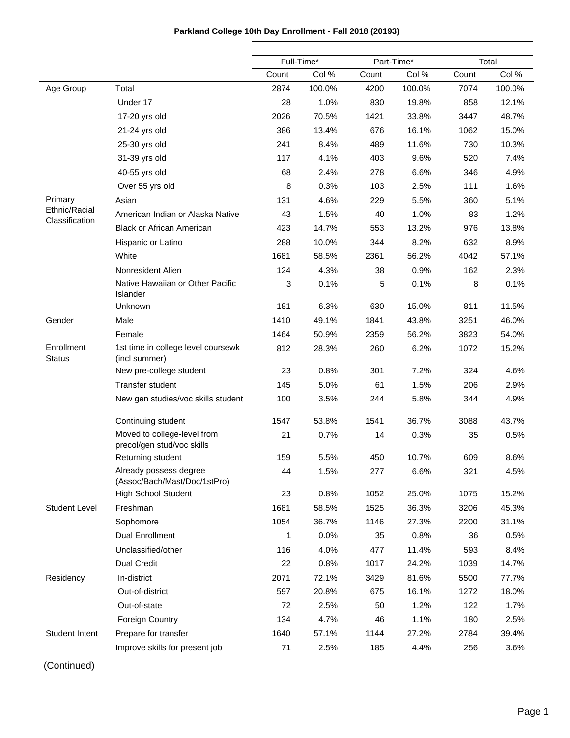# **Parkland College 10th Day Enrollment - Fall 2018 (20193)**

|                                 |                                                           | Full-Time* |        | Part-Time* |        |       | Total  |
|---------------------------------|-----------------------------------------------------------|------------|--------|------------|--------|-------|--------|
|                                 |                                                           | Count      | Col %  | Count      | Col %  | Count | Col %  |
| Age Group                       | Total                                                     | 2874       | 100.0% | 4200       | 100.0% | 7074  | 100.0% |
|                                 | Under 17                                                  | 28         | 1.0%   | 830        | 19.8%  | 858   | 12.1%  |
|                                 | 17-20 yrs old                                             | 2026       | 70.5%  | 1421       | 33.8%  | 3447  | 48.7%  |
|                                 | 21-24 yrs old                                             | 386        | 13.4%  | 676        | 16.1%  | 1062  | 15.0%  |
|                                 | 25-30 yrs old                                             | 241        | 8.4%   | 489        | 11.6%  | 730   | 10.3%  |
|                                 | 31-39 yrs old                                             | 117        | 4.1%   | 403        | 9.6%   | 520   | 7.4%   |
|                                 | 40-55 yrs old                                             | 68         | 2.4%   | 278        | 6.6%   | 346   | 4.9%   |
|                                 | Over 55 yrs old                                           | 8          | 0.3%   | 103        | 2.5%   | 111   | 1.6%   |
| Primary                         | Asian                                                     | 131        | 4.6%   | 229        | 5.5%   | 360   | 5.1%   |
| Ethnic/Racial<br>Classification | American Indian or Alaska Native                          | 43         | 1.5%   | 40         | 1.0%   | 83    | 1.2%   |
|                                 | <b>Black or African American</b>                          | 423        | 14.7%  | 553        | 13.2%  | 976   | 13.8%  |
|                                 | Hispanic or Latino                                        | 288        | 10.0%  | 344        | 8.2%   | 632   | 8.9%   |
|                                 | White                                                     | 1681       | 58.5%  | 2361       | 56.2%  | 4042  | 57.1%  |
|                                 | Nonresident Alien                                         | 124        | 4.3%   | 38         | 0.9%   | 162   | 2.3%   |
|                                 | Native Hawaiian or Other Pacific<br>Islander              | 3          | 0.1%   | 5          | 0.1%   | 8     | 0.1%   |
|                                 | Unknown                                                   | 181        | 6.3%   | 630        | 15.0%  | 811   | 11.5%  |
| Gender                          | Male                                                      | 1410       | 49.1%  | 1841       | 43.8%  | 3251  | 46.0%  |
|                                 | Female                                                    | 1464       | 50.9%  | 2359       | 56.2%  | 3823  | 54.0%  |
| Enrollment<br><b>Status</b>     | 1st time in college level coursewk<br>(incl summer)       | 812        | 28.3%  | 260        | 6.2%   | 1072  | 15.2%  |
|                                 | New pre-college student                                   | 23         | 0.8%   | 301        | 7.2%   | 324   | 4.6%   |
|                                 | <b>Transfer student</b>                                   | 145        | 5.0%   | 61         | 1.5%   | 206   | 2.9%   |
|                                 | New gen studies/voc skills student                        | 100        | 3.5%   | 244        | 5.8%   | 344   | 4.9%   |
|                                 | Continuing student                                        | 1547       | 53.8%  | 1541       | 36.7%  | 3088  | 43.7%  |
|                                 | Moved to college-level from<br>precol/gen stud/voc skills | 21         | 0.7%   | 14         | 0.3%   | 35    | 0.5%   |
|                                 | Returning student                                         | 159        | 5.5%   | 450        | 10.7%  | 609   | 8.6%   |
|                                 | Already possess degree<br>(Assoc/Bach/Mast/Doc/1stPro)    | 44         | 1.5%   | 277        | 6.6%   | 321   | 4.5%   |
|                                 | <b>High School Student</b>                                | 23         | 0.8%   | 1052       | 25.0%  | 1075  | 15.2%  |
| <b>Student Level</b>            | Freshman                                                  | 1681       | 58.5%  | 1525       | 36.3%  | 3206  | 45.3%  |
|                                 | Sophomore                                                 | 1054       | 36.7%  | 1146       | 27.3%  | 2200  | 31.1%  |
|                                 | <b>Dual Enrollment</b>                                    | 1          | 0.0%   | 35         | 0.8%   | 36    | 0.5%   |
|                                 | Unclassified/other                                        | 116        | 4.0%   | 477        | 11.4%  | 593   | 8.4%   |
|                                 | <b>Dual Credit</b>                                        | 22         | 0.8%   | 1017       | 24.2%  | 1039  | 14.7%  |
| Residency                       | In-district                                               | 2071       | 72.1%  | 3429       | 81.6%  | 5500  | 77.7%  |
|                                 | Out-of-district                                           | 597        | 20.8%  | 675        | 16.1%  | 1272  | 18.0%  |
|                                 | Out-of-state                                              | 72         | 2.5%   | 50         | 1.2%   | 122   | 1.7%   |
|                                 | <b>Foreign Country</b>                                    | 134        | 4.7%   | 46         | 1.1%   | 180   | 2.5%   |
| <b>Student Intent</b>           | Prepare for transfer                                      | 1640       | 57.1%  | 1144       | 27.2%  | 2784  | 39.4%  |
|                                 | Improve skills for present job                            | 71         | 2.5%   | 185        | 4.4%   | 256   | 3.6%   |

(Continued)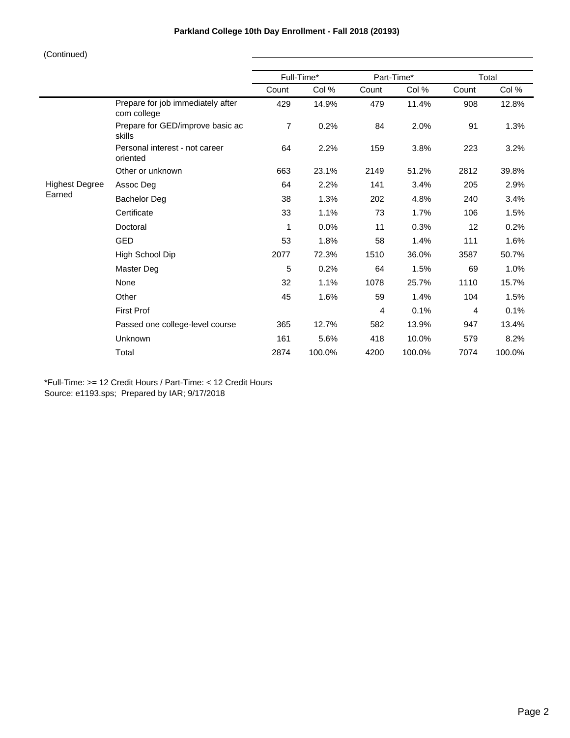# **Parkland College 10th Day Enrollment - Fall 2018 (20193)**

## (Continued)

|                                                  | Full-Time*     |        | Part-Time* |        | Total |        |  |
|--------------------------------------------------|----------------|--------|------------|--------|-------|--------|--|
|                                                  | Count          | Col %  | Count      | Col %  | Count | Col %  |  |
| Prepare for job immediately after<br>com college | 429            | 14.9%  | 479        | 11.4%  | 908   | 12.8%  |  |
| Prepare for GED/improve basic ac<br>skills       | $\overline{7}$ | 0.2%   | 84         | 2.0%   | 91    | 1.3%   |  |
| Personal interest - not career<br>oriented       | 64             | 2.2%   | 159        | 3.8%   | 223   | 3.2%   |  |
| Other or unknown                                 | 663            | 23.1%  | 2149       | 51.2%  | 2812  | 39.8%  |  |
| Assoc Deg                                        | 64             | 2.2%   | 141        | 3.4%   | 205   | 2.9%   |  |
| <b>Bachelor Deg</b>                              | 38             | 1.3%   | 202        | 4.8%   | 240   | 3.4%   |  |
| Certificate                                      | 33             | 1.1%   | 73         | 1.7%   | 106   | 1.5%   |  |
| Doctoral                                         | 1              | 0.0%   | 11         | 0.3%   | 12    | 0.2%   |  |
| <b>GED</b>                                       | 53             | 1.8%   | 58         | 1.4%   | 111   | 1.6%   |  |
| High School Dip                                  | 2077           | 72.3%  | 1510       | 36.0%  | 3587  | 50.7%  |  |
| Master Deg                                       | 5              | 0.2%   | 64         | 1.5%   | 69    | 1.0%   |  |
| None                                             | 32             | 1.1%   | 1078       | 25.7%  | 1110  | 15.7%  |  |
| Other                                            | 45             | 1.6%   | 59         | 1.4%   | 104   | 1.5%   |  |
| <b>First Prof</b>                                |                |        | 4          | 0.1%   | 4     | 0.1%   |  |
| Passed one college-level course                  | 365            | 12.7%  | 582        | 13.9%  | 947   | 13.4%  |  |
| Unknown                                          | 161            | 5.6%   | 418        | 10.0%  | 579   | 8.2%   |  |
| Total                                            | 2874           | 100.0% | 4200       | 100.0% | 7074  | 100.0% |  |
|                                                  |                |        |            |        |       |        |  |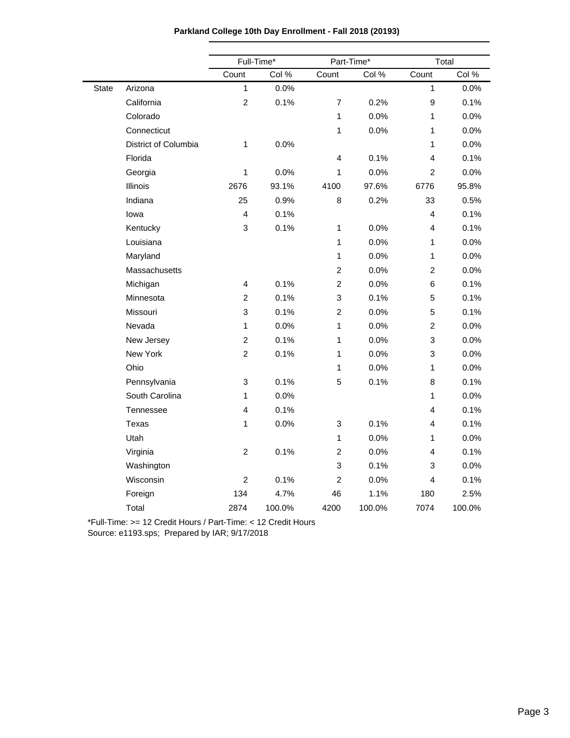|  |  | Parkland College 10th Day Enrollment - Fall 2018 (20193) |  |  |
|--|--|----------------------------------------------------------|--|--|
|--|--|----------------------------------------------------------|--|--|

|              |                      |                           | Full-Time* |                           | Part-Time* | Total                   |        |  |
|--------------|----------------------|---------------------------|------------|---------------------------|------------|-------------------------|--------|--|
|              |                      | Count                     | Col %      | Count                     | Col %      | Count                   | Col %  |  |
| <b>State</b> | Arizona              | $\mathbf{1}$              | 0.0%       |                           |            | $\mathbf{1}$            | 0.0%   |  |
|              | California           | $\overline{2}$            | 0.1%       | $\overline{7}$            | 0.2%       | $\boldsymbol{9}$        | 0.1%   |  |
|              | Colorado             |                           |            | $\mathbf{1}$              | 0.0%       | 1                       | 0.0%   |  |
|              | Connecticut          |                           |            | 1                         | 0.0%       | 1                       | 0.0%   |  |
|              | District of Columbia | 1                         | 0.0%       |                           |            | 1                       | 0.0%   |  |
|              | Florida              |                           |            | 4                         | 0.1%       | 4                       | 0.1%   |  |
|              | Georgia              | $\mathbf{1}$              | 0.0%       | 1                         | 0.0%       | 2                       | 0.0%   |  |
|              | Illinois             | 2676                      | 93.1%      | 4100                      | 97.6%      | 6776                    | 95.8%  |  |
|              | Indiana              | 25                        | 0.9%       | 8                         | 0.2%       | 33                      | 0.5%   |  |
|              | lowa                 | $\overline{\mathbf{4}}$   | 0.1%       |                           |            | $\overline{\mathbf{4}}$ | 0.1%   |  |
|              | Kentucky             | $\mathfrak{S}$            | 0.1%       | $\mathbf{1}$              | 0.0%       | $\overline{\mathbf{4}}$ | 0.1%   |  |
|              | Louisiana            |                           |            | 1                         | 0.0%       | $\mathbf{1}$            | 0.0%   |  |
|              | Maryland             |                           |            | $\mathbf{1}$              | 0.0%       | 1                       | 0.0%   |  |
|              | Massachusetts        |                           |            | $\boldsymbol{2}$          | 0.0%       | $\boldsymbol{2}$        | 0.0%   |  |
|              | Michigan             | $\overline{4}$            | 0.1%       | $\boldsymbol{2}$          | 0.0%       | $\,6$                   | 0.1%   |  |
|              | Minnesota            | $\overline{c}$            | 0.1%       | $\ensuremath{\mathsf{3}}$ | 0.1%       | 5                       | 0.1%   |  |
|              | Missouri             | $\mathfrak{S}$            | 0.1%       | $\overline{2}$            | 0.0%       | $\overline{5}$          | 0.1%   |  |
|              | Nevada               | $\mathbf{1}$              | 0.0%       | 1                         | 0.0%       | $\boldsymbol{2}$        | 0.0%   |  |
|              | New Jersey           | $\boldsymbol{2}$          | 0.1%       | 1                         | 0.0%       | $\mathbf{3}$            | 0.0%   |  |
|              | New York             | $\overline{c}$            | 0.1%       | 1                         | 0.0%       | 3                       | 0.0%   |  |
|              | Ohio                 |                           |            | 1                         | 0.0%       | 1                       | 0.0%   |  |
|              | Pennsylvania         | $\ensuremath{\mathsf{3}}$ | 0.1%       | 5                         | 0.1%       | $\bf8$                  | 0.1%   |  |
|              | South Carolina       | $\mathbf{1}$              | 0.0%       |                           |            | 1                       | 0.0%   |  |
|              | Tennessee            | $\overline{\mathbf{4}}$   | 0.1%       |                           |            | $\overline{\mathbf{4}}$ | 0.1%   |  |
|              | <b>Texas</b>         | $\mathbf{1}$              | 0.0%       | $\mathbf{3}$              | 0.1%       | $\overline{\mathbf{4}}$ | 0.1%   |  |
|              | Utah                 |                           |            | $\mathbf{1}$              | 0.0%       | 1                       | 0.0%   |  |
|              | Virginia             | $\overline{c}$            | 0.1%       | $\overline{c}$            | 0.0%       | $\overline{\mathbf{4}}$ | 0.1%   |  |
|              | Washington           |                           |            | 3                         | 0.1%       | 3                       | 0.0%   |  |
|              | Wisconsin            | $\overline{2}$            | 0.1%       | $\overline{c}$            | 0.0%       | 4                       | 0.1%   |  |
|              | Foreign              | 134                       | 4.7%       | 46                        | 1.1%       | 180                     | 2.5%   |  |
|              | Total                | 2874                      | 100.0%     | 4200                      | 100.0%     | 7074                    | 100.0% |  |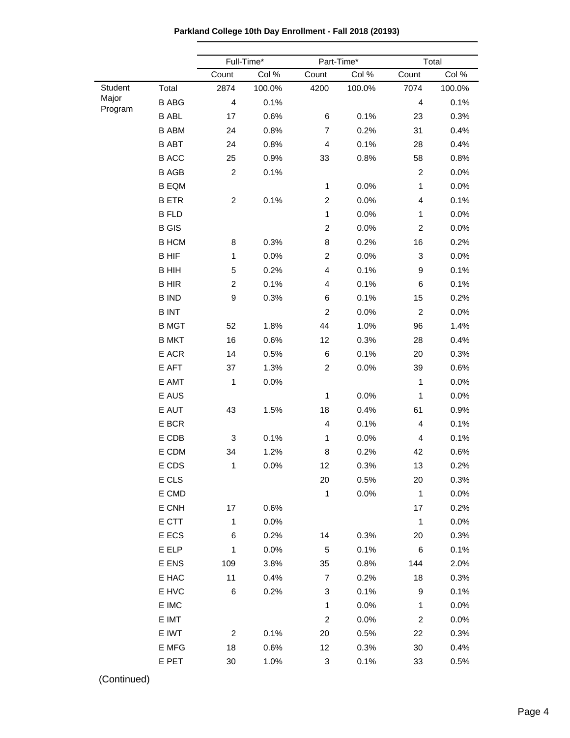**Parkland College 10th Day Enrollment - Fall 2018 (20193)**

|                  |                 |                         | Full-Time* |                | Part-Time* |                | Total  |
|------------------|-----------------|-------------------------|------------|----------------|------------|----------------|--------|
|                  |                 | Count                   | Col %      | Count          | Col %      | Count          | Col %  |
| Student          | Total           | 2874                    | 100.0%     | 4200           | 100.0%     | 7074           | 100.0% |
| Major<br>Program | <b>B ABG</b>    | 4                       | 0.1%       |                |            | 4              | 0.1%   |
|                  | <b>B ABL</b>    | 17                      | 0.6%       | 6              | 0.1%       | 23             | 0.3%   |
|                  | <b>B ABM</b>    | 24                      | 0.8%       | $\overline{7}$ | 0.2%       | 31             | 0.4%   |
|                  | <b>B ABT</b>    | 24                      | 0.8%       | 4              | 0.1%       | 28             | 0.4%   |
|                  | <b>B ACC</b>    | 25                      | 0.9%       | 33             | 0.8%       | 58             | 0.8%   |
|                  | <b>B AGB</b>    | $\overline{\mathbf{c}}$ | 0.1%       |                |            | $\overline{c}$ | 0.0%   |
|                  | <b>B EQM</b>    |                         |            | $\mathbf{1}$   | 0.0%       | $\mathbf{1}$   | 0.0%   |
|                  | <b>BETR</b>     | $\overline{c}$          | 0.1%       | $\overline{c}$ | 0.0%       | 4              | 0.1%   |
|                  | <b>B FLD</b>    |                         |            | $\mathbf{1}$   | 0.0%       | 1              | 0.0%   |
|                  | <b>B</b> GIS    |                         |            | $\overline{c}$ | 0.0%       | $\overline{c}$ | 0.0%   |
|                  | <b>B HCM</b>    | 8                       | 0.3%       | 8              | 0.2%       | 16             | 0.2%   |
|                  | <b>BHIF</b>     | $\mathbf{1}$            | 0.0%       | $\overline{c}$ | 0.0%       | 3              | 0.0%   |
|                  | <b>B HIH</b>    | 5                       | 0.2%       | 4              | 0.1%       | 9              | 0.1%   |
|                  | <b>BHIR</b>     | $\overline{\mathbf{c}}$ | 0.1%       | 4              | 0.1%       | 6              | 0.1%   |
|                  | <b>B IND</b>    | 9                       | 0.3%       | 6              | 0.1%       | 15             | 0.2%   |
|                  | <b>BINT</b>     |                         |            | $\overline{c}$ | 0.0%       | $\overline{c}$ | 0.0%   |
|                  | <b>B MGT</b>    | 52                      | 1.8%       | 44             | 1.0%       | 96             | 1.4%   |
|                  | <b>B MKT</b>    | 16                      | 0.6%       | 12             | 0.3%       | 28             | 0.4%   |
|                  | E ACR           | 14                      | 0.5%       | 6              | 0.1%       | 20             | 0.3%   |
|                  | E AFT           | 37                      | 1.3%       | $\overline{c}$ | 0.0%       | 39             | 0.6%   |
|                  | E AMT           | $\mathbf{1}$            | 0.0%       |                |            | $\mathbf{1}$   | 0.0%   |
|                  | E AUS           |                         |            | 1              | 0.0%       | 1              | 0.0%   |
|                  | E AUT           | 43                      | 1.5%       | 18             | 0.4%       | 61             | 0.9%   |
|                  | E BCR           |                         |            | 4              | 0.1%       | 4              | 0.1%   |
|                  | E CDB           | 3                       | 0.1%       | $\mathbf{1}$   | 0.0%       | 4              | 0.1%   |
|                  | E CDM           | 34                      | 1.2%       | 8              | 0.2%       | 42             | 0.6%   |
|                  | E CDS           | $\mathbf{1}$            | 0.0%       | 12             | 0.3%       | 13             | 0.2%   |
|                  | E CLS           |                         |            | 20             | 0.5%       | 20             | 0.3%   |
|                  | E CMD           |                         |            | $\mathbf{1}$   | 0.0%       | $\mathbf{1}$   | 0.0%   |
|                  | E CNH           | 17                      | 0.6%       |                |            | 17             | 0.2%   |
|                  | E CTT           | $\mathbf{1}$            | 0.0%       |                |            | $\mathbf{1}$   | 0.0%   |
|                  | E ECS           | 6                       | 0.2%       | 14             | 0.3%       | 20             | 0.3%   |
|                  | E ELP           | $\mathbf{1}$            | 0.0%       | 5              | 0.1%       | 6              | 0.1%   |
|                  | E ENS           | 109                     | 3.8%       | 35             | 0.8%       | 144            | 2.0%   |
|                  | E HAC           | 11                      | 0.4%       | $\overline{7}$ | 0.2%       | 18             | 0.3%   |
|                  | E HVC           | 6                       | 0.2%       | 3              | 0.1%       | 9              | 0.1%   |
|                  | $\mathsf E$ IMC |                         |            | $\mathbf{1}$   | 0.0%       | 1              | 0.0%   |
|                  | E IMT           |                         |            | $\overline{c}$ | 0.0%       | 2              | 0.0%   |
|                  | E IWT           | 2                       | 0.1%       | 20             | 0.5%       | 22             | 0.3%   |
|                  | E MFG           | 18                      | 0.6%       | 12             | 0.3%       | 30             | 0.4%   |
|                  | E PET           | 30                      | 1.0%       | 3              | 0.1%       | 33             | 0.5%   |
|                  |                 |                         |            |                |            |                |        |

(Continued)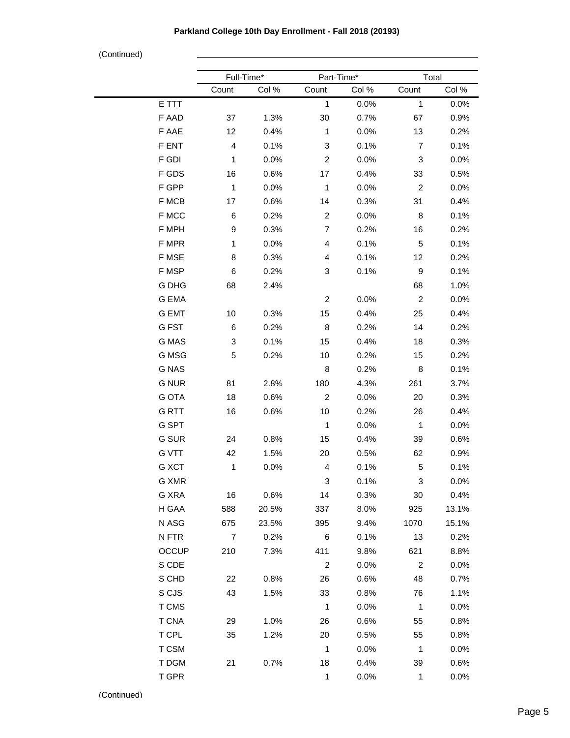# **Parkland College 10th Day Enrollment - Fall 2018 (20193)**

(Continued)

|              | Full-Time*              |       | Part-Time*              |         | Total          |         |
|--------------|-------------------------|-------|-------------------------|---------|----------------|---------|
|              | Count                   | Col % | Count                   | Col %   | Count          | Col %   |
| E TTT        |                         |       | $\mathbf{1}$            | 0.0%    | $\mathbf{1}$   | 0.0%    |
| F AAD        | 37                      | 1.3%  | 30                      | 0.7%    | 67             | 0.9%    |
| F AAE        | 12                      | 0.4%  | $\mathbf{1}$            | 0.0%    | 13             | 0.2%    |
| F ENT        | $\overline{\mathbf{4}}$ | 0.1%  | 3                       | 0.1%    | $\overline{7}$ | 0.1%    |
| F GDI        | $\mathbf{1}$            | 0.0%  | $\overline{\mathbf{c}}$ | 0.0%    | 3              | 0.0%    |
| F GDS        | 16                      | 0.6%  | 17                      | 0.4%    | 33             | 0.5%    |
| F GPP        | $\mathbf{1}$            | 0.0%  | $\mathbf{1}$            | 0.0%    | $\overline{c}$ | 0.0%    |
| F MCB        | 17                      | 0.6%  | 14                      | 0.3%    | 31             | 0.4%    |
| F MCC        | 6                       | 0.2%  | $\overline{c}$          | 0.0%    | 8              | 0.1%    |
| F MPH        | $\boldsymbol{9}$        | 0.3%  | 7                       | 0.2%    | 16             | 0.2%    |
| F MPR        | $\mathbf{1}$            | 0.0%  | 4                       | 0.1%    | 5              | 0.1%    |
| F MSE        | 8                       | 0.3%  | 4                       | 0.1%    | 12             | 0.2%    |
| F MSP        | 6                       | 0.2%  | 3                       | 0.1%    | 9              | 0.1%    |
| G DHG        | 68                      | 2.4%  |                         |         | 68             | 1.0%    |
| G EMA        |                         |       | $\overline{\mathbf{c}}$ | 0.0%    | $\overline{c}$ | 0.0%    |
| <b>G EMT</b> | 10                      | 0.3%  | 15                      | 0.4%    | 25             | 0.4%    |
| G FST        | 6                       | 0.2%  | 8                       | 0.2%    | 14             | 0.2%    |
| G MAS        | 3                       | 0.1%  | 15                      | 0.4%    | 18             | 0.3%    |
| G MSG        | 5                       | 0.2%  | 10                      | 0.2%    | 15             | 0.2%    |
| <b>G NAS</b> |                         |       | 8                       | 0.2%    | 8              | 0.1%    |
| <b>G NUR</b> | 81                      | 2.8%  | 180                     | 4.3%    | 261            | 3.7%    |
| <b>G OTA</b> | 18                      | 0.6%  | $\overline{c}$          | 0.0%    | 20             | 0.3%    |
| <b>GRTT</b>  | 16                      | 0.6%  | 10                      | 0.2%    | 26             | 0.4%    |
| G SPT        |                         |       | $\mathbf{1}$            | 0.0%    | $\mathbf{1}$   | 0.0%    |
| <b>G SUR</b> | 24                      | 0.8%  | 15                      | 0.4%    | 39             | 0.6%    |
| <b>G VTT</b> | 42                      | 1.5%  | 20                      | 0.5%    | 62             | 0.9%    |
| G XCT        | 1                       | 0.0%  | 4                       | 0.1%    | 5              | 0.1%    |
| G XMR        |                         |       | 3                       | 0.1%    | 3              | 0.0%    |
| G XRA        | 16                      | 0.6%  | 14                      | 0.3%    | 30             | 0.4%    |
| H GAA        | 588                     | 20.5% | 337                     | 8.0%    | 925            | 13.1%   |
| N ASG        | 675                     | 23.5% | 395                     | 9.4%    | 1070           | 15.1%   |
| N FTR        | $\overline{7}$          | 0.2%  | 6                       | 0.1%    | 13             | 0.2%    |
| <b>OCCUP</b> | 210                     | 7.3%  | 411                     | 9.8%    | 621            | 8.8%    |
| S CDE        |                         |       | $\overline{2}$          | 0.0%    | $\overline{2}$ | 0.0%    |
| S CHD        | 22                      | 0.8%  | 26                      | 0.6%    | 48             | 0.7%    |
| S CJS        | 43                      | 1.5%  | 33                      | 0.8%    | 76             | 1.1%    |
| T CMS        |                         |       | $\mathbf{1}$            | 0.0%    | $\mathbf{1}$   | 0.0%    |
| <b>T CNA</b> | 29                      | 1.0%  | 26                      | 0.6%    | 55             | 0.8%    |
| T CPL        | 35                      | 1.2%  | 20                      | 0.5%    | 55             | 0.8%    |
| T CSM        |                         |       | $\mathbf{1}$            | $0.0\%$ | $\mathbf{1}$   | $0.0\%$ |
| T DGM        | 21                      | 0.7%  | 18                      | 0.4%    | 39             | 0.6%    |
| T GPR        |                         |       | $\mathbf{1}$            | 0.0%    | $\mathbf{1}$   | 0.0%    |
|              |                         |       |                         |         |                |         |

(Continued)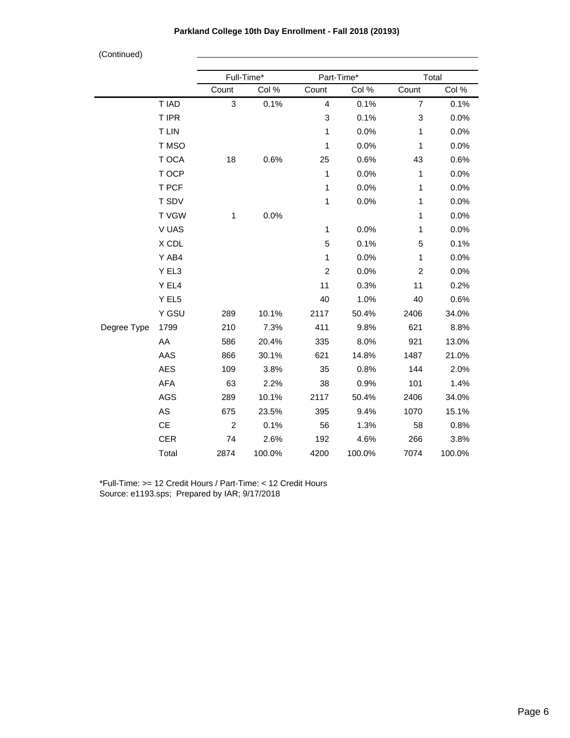| (Continued) |              |                |            |                         |            |                |        |
|-------------|--------------|----------------|------------|-------------------------|------------|----------------|--------|
|             |              |                | Full-Time* |                         | Part-Time* |                | Total  |
|             |              | Count          | Col %      | Count                   | Col %      | Count          | Col %  |
|             | T IAD        | 3              | 0.1%       | $\overline{\mathbf{4}}$ | 0.1%       | $\overline{7}$ | 0.1%   |
|             | T IPR        |                |            | 3                       | 0.1%       | 3              | 0.0%   |
|             | <b>T LIN</b> |                |            | 1                       | 0.0%       | $\mathbf{1}$   | 0.0%   |
|             | T MSO        |                |            | 1                       | 0.0%       | $\mathbf{1}$   | 0.0%   |
|             | T OCA        | 18             | 0.6%       | 25                      | 0.6%       | 43             | 0.6%   |
|             | T OCP        |                |            | 1                       | 0.0%       | $\mathbf{1}$   | 0.0%   |
|             | T PCF        |                |            | 1                       | 0.0%       | 1              | 0.0%   |
|             | T SDV        |                |            | 1                       | 0.0%       | $\mathbf{1}$   | 0.0%   |
|             | <b>TVGW</b>  | $\mathbf{1}$   | 0.0%       |                         |            | $\mathbf{1}$   | 0.0%   |
|             | V UAS        |                |            | 1                       | 0.0%       | $\mathbf{1}$   | 0.0%   |
|             | X CDL        |                |            | 5                       | 0.1%       | 5              | 0.1%   |
|             | Y AB4        |                |            | 1                       | 0.0%       | $\mathbf{1}$   | 0.0%   |
|             | Y EL3        |                |            | $\overline{c}$          | 0.0%       | $\overline{c}$ | 0.0%   |
|             | Y EL4        |                |            | 11                      | 0.3%       | 11             | 0.2%   |
|             | Y EL5        |                |            | 40                      | 1.0%       | 40             | 0.6%   |
|             | Y GSU        | 289            | 10.1%      | 2117                    | 50.4%      | 2406           | 34.0%  |
| Degree Type | 1799         | 210            | 7.3%       | 411                     | 9.8%       | 621            | 8.8%   |
|             | AA           | 586            | 20.4%      | 335                     | 8.0%       | 921            | 13.0%  |
|             | AAS          | 866            | 30.1%      | 621                     | 14.8%      | 1487           | 21.0%  |
|             | <b>AES</b>   | 109            | 3.8%       | 35                      | 0.8%       | 144            | 2.0%   |
|             | AFA          | 63             | 2.2%       | 38                      | 0.9%       | 101            | 1.4%   |
|             | AGS          | 289            | 10.1%      | 2117                    | 50.4%      | 2406           | 34.0%  |
|             | AS           | 675            | 23.5%      | 395                     | 9.4%       | 1070           | 15.1%  |
|             | CE           | $\overline{c}$ | 0.1%       | 56                      | 1.3%       | 58             | 0.8%   |
|             | <b>CER</b>   | 74             | 2.6%       | 192                     | 4.6%       | 266            | 3.8%   |
|             | Total        | 2874           | 100.0%     | 4200                    | 100.0%     | 7074           | 100.0% |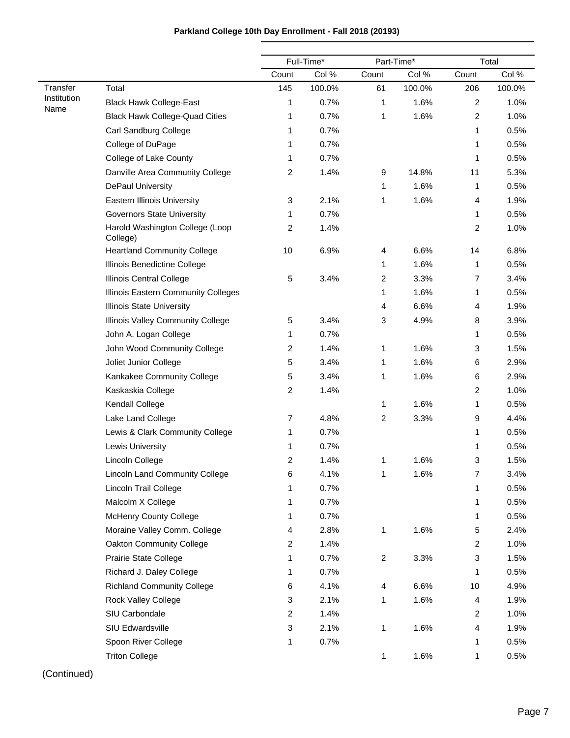|                     |                                             |                | Full-Time* |                         | Part-Time* |                | Total  |
|---------------------|---------------------------------------------|----------------|------------|-------------------------|------------|----------------|--------|
|                     |                                             | Count          | Col %      | Count                   | Col %      | Count          | Col %  |
| Transfer            | Total                                       | 145            | 100.0%     | 61                      | 100.0%     | 206            | 100.0% |
| Institution<br>Name | <b>Black Hawk College-East</b>              | 1              | 0.7%       | 1                       | 1.6%       | $\overline{2}$ | 1.0%   |
|                     | <b>Black Hawk College-Quad Cities</b>       | 1              | 0.7%       | 1                       | 1.6%       | $\overline{c}$ | 1.0%   |
|                     | Carl Sandburg College                       | 1              | 0.7%       |                         |            | 1              | 0.5%   |
|                     | College of DuPage                           | 1              | 0.7%       |                         |            | 1              | 0.5%   |
|                     | College of Lake County                      | 1              | 0.7%       |                         |            | 1              | 0.5%   |
|                     | Danville Area Community College             | 2              | 1.4%       | 9                       | 14.8%      | 11             | 5.3%   |
|                     | DePaul University                           |                |            | 1                       | 1.6%       | 1              | 0.5%   |
|                     | <b>Eastern Illinois University</b>          | 3              | 2.1%       | 1                       | 1.6%       | 4              | 1.9%   |
|                     | <b>Governors State University</b>           | 1              | 0.7%       |                         |            | 1              | 0.5%   |
|                     | Harold Washington College (Loop<br>College) | 2              | 1.4%       |                         |            | $\overline{c}$ | 1.0%   |
|                     | <b>Heartland Community College</b>          | 10             | 6.9%       | 4                       | 6.6%       | 14             | 6.8%   |
|                     | Illinois Benedictine College                |                |            | 1                       | 1.6%       | 1              | 0.5%   |
|                     | Illinois Central College                    | 5              | 3.4%       | 2                       | 3.3%       | 7              | 3.4%   |
|                     | Illinois Eastern Community Colleges         |                |            | 1                       | 1.6%       | 1              | 0.5%   |
|                     | <b>Illinois State University</b>            |                |            | 4                       | 6.6%       | 4              | 1.9%   |
|                     | Illinois Valley Community College           | 5              | 3.4%       | 3                       | 4.9%       | 8              | 3.9%   |
|                     | John A. Logan College                       | 1              | 0.7%       |                         |            | 1              | 0.5%   |
|                     | John Wood Community College                 | $\overline{a}$ | 1.4%       | 1                       | 1.6%       | 3              | 1.5%   |
|                     | Joliet Junior College                       | 5              | 3.4%       | 1                       | 1.6%       | 6              | 2.9%   |
|                     | Kankakee Community College                  | 5              | 3.4%       | 1                       | 1.6%       | 6              | 2.9%   |
|                     | Kaskaskia College                           | 2              | 1.4%       |                         |            | $\overline{c}$ | 1.0%   |
|                     | Kendall College                             |                |            | 1                       | 1.6%       | 1              | 0.5%   |
|                     | Lake Land College                           | 7              | 4.8%       | $\overline{\mathbf{c}}$ | 3.3%       | 9              | 4.4%   |
|                     | Lewis & Clark Community College             | 1              | 0.7%       |                         |            | 1              | 0.5%   |
|                     | Lewis University                            | 1              | 0.7%       |                         |            | 1              | 0.5%   |
|                     | Lincoln College                             | 2              | 1.4%       | 1                       | 1.6%       | 3              | 1.5%   |
|                     | Lincoln Land Community College              | 6              | 4.1%       | 1                       | 1.6%       | 7              | 3.4%   |
|                     | Lincoln Trail College                       | 1              | 0.7%       |                         |            | 1              | 0.5%   |
|                     | Malcolm X College                           | 1              | 0.7%       |                         |            | 1              | 0.5%   |
|                     | <b>McHenry County College</b>               | 1              | 0.7%       |                         |            | 1              | 0.5%   |
|                     | Moraine Valley Comm. College                | 4              | 2.8%       | 1                       | 1.6%       | 5              | 2.4%   |
|                     | Oakton Community College                    | $\overline{c}$ | 1.4%       |                         |            | $\overline{c}$ | 1.0%   |
|                     | Prairie State College                       | 1              | 0.7%       | $\overline{c}$          | 3.3%       | 3              | 1.5%   |
|                     | Richard J. Daley College                    | 1              | 0.7%       |                         |            | 1              | 0.5%   |
|                     | <b>Richland Community College</b>           | 6              | 4.1%       | 4                       | 6.6%       | 10             | 4.9%   |
|                     | Rock Valley College                         | 3              | 2.1%       | 1                       | 1.6%       | $\overline{4}$ | 1.9%   |
|                     | SIU Carbondale                              | $\overline{a}$ | 1.4%       |                         |            | $\overline{2}$ | 1.0%   |
|                     | SIU Edwardsville                            | 3              | 2.1%       | 1                       | 1.6%       | $\overline{4}$ | 1.9%   |
|                     | Spoon River College                         | 1              | 0.7%       |                         |            | 1              | 0.5%   |
|                     | <b>Triton College</b>                       |                |            | 1                       | 1.6%       | 1              | 0.5%   |